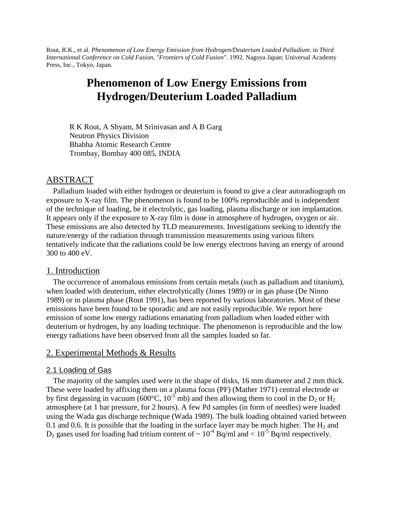Rout, R.K., et al. *Phenomenon of Low Energy Emission from Hydrogen/Deuterium Loaded Palladium*. in *Third International Conference on Cold Fusion, "Frontiers of Cold Fusion"*. 1992. Nagoya Japan: Universal Academy Press, Inc., Tokyo, Japan.

# **Phenomenon of Low Energy Emissions from Hydrogen/Deuterium Loaded Palladium**

R K Rout, A Shyam, M Srinivasan and A B Garg Neutron Physics Division Bhabha Atomic Research Centre Trombay, Bombay 400 085, INDIA

## ABSTRACT

Palladium loaded with either hydrogen or deuterium is found to give a clear autoradiograph on exposure to X-ray film. The phenomenon is found to be 100% reproducible and is independent of the technique of loading, be it electrolytic, gas loading, plasma discharge or ion implantation. It appears only if the exposure to X-ray film is done in atmosphere of hydrogen, oxygen or air. These emissions are also detected by TLD measurements. Investigations seeking to identify the nature/energy of the radiation through transmission measurements using various filters tentatively indicate that the radiations could be low energy electrons having an energy of around 300 to 400 eV.

#### 1. Introduction

The occurrence of anomalous emissions from certain metals (such as palladium and titanium), when loaded with deuterium, either electrolytically (Jones 1989) or in gas phase (De Ninno 1989) or in plasma phase (Rout 1991), has been reported by various laboratories. Most of these emissions have been found to be sporadic and are not easily reproducible. We report here emission of some low energy radiations emanating from palladium when loaded either with deuterium or hydrogen, by any loading technique. The phenomenon is reproducible and the low energy radiations have been observed from all the samples loaded so far.

## 2. Experimental Methods & Results

#### 2.1 Loading of Gas

The majority of the samples used were in the shape of disks, 16 mm diameter and 2 mm thick. These were loaded by affixing them on a plasma focus (PF) (Mather 1971) central electrode or by first degassing in vacuum (600°C, 10<sup>-5</sup> mb) and then allowing them to cool in the D<sub>2</sub> or H<sub>2</sub> atmosphere (at 1 bar pressure, for 2 hours). A few Pd samples (in form of needles) were loaded using the Wada gas discharge technique (Wada 1989). The bulk loading obtained varied between 0.1 and 0.6. It is possible that the loading in the surface layer may be much higher. The  $H_2$  and  $D_2$  gases used for loading had tritium content of  $\sim 10^{-4}$  Bq/ml and  $\lt 10^{-5}$  Bq/ml respectively.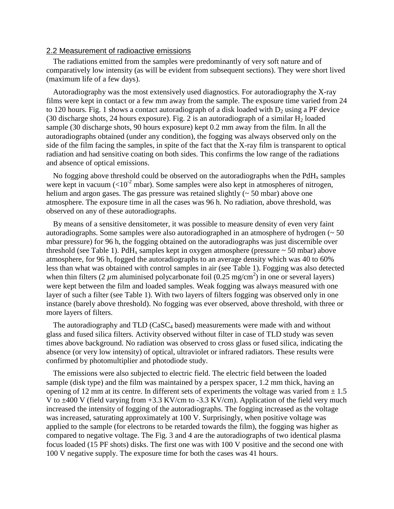#### 2.2 Measurement of radioactive emissions

The radiations emitted from the samples were predominantly of very soft nature and of comparatively low intensity (as will be evident from subsequent sections). They were short lived (maximum life of a few days).

Autoradiography was the most extensively used diagnostics. For autoradiography the X-ray films were kept in contact or a few mm away from the sample. The exposure time varied from 24 to 120 hours. Fig. 1 shows a contact autoradiograph of a disk loaded with  $D_2$  using a PF device (30 discharge shots, 24 hours exposure). Fig. 2 is an autoradiograph of a similar  $H_2$  loaded sample (30 discharge shots, 90 hours exposure) kept 0.2 mm away from the film. In all the autoradiographs obtained (under any condition), the fogging was always observed only on the side of the film facing the samples, in spite of the fact that the X-ray film is transparent to optical radiation and had sensitive coating on both sides. This confirms the low range of the radiations and absence of optical emissions.

No fogging above threshold could be observed on the autoradiographs when the  $PdH<sub>x</sub>$  samples were kept in vacuum  $\left($  <10<sup>-2</sup> mbar). Some samples were also kept in atmospheres of nitrogen, helium and argon gases. The gas pressure was retained slightly ( $\sim$  50 mbar) above one atmosphere. The exposure time in all the cases was 96 h. No radiation, above threshold, was observed on any of these autoradiographs.

By means of a sensitive densitometer, it was possible to measure density of even very faint autoradiographs. Some samples were also autoradiographed in an atmosphere of hydrogen (~ 50 mbar pressure) for 96 h, the fogging obtained on the autoradiographs was just discernible over threshold (see Table 1). PdH<sub>x</sub> samples kept in oxygen atmosphere (pressure  $\sim$  50 mbar) above atmosphere, for 96 h, fogged the autoradiographs to an average density which was 40 to 60% less than what was obtained with control samples in air (see Table 1). Fogging was also detected when thin filters (2  $\mu$ m aluminised polycarbonate foil (0.25 mg/cm<sup>2</sup>) in one or several layers) were kept between the film and loaded samples. Weak fogging was always measured with one layer of such a filter (see Table 1). With two layers of filters fogging was observed only in one instance (barely above threshold). No fogging was ever observed, above threshold, with three or more layers of filters.

The autoradiography and  $TLD$  (CaSC<sub>4</sub> based) measurements were made with and without glass and fused silica filters. Activity observed without filter in case of TLD study was seven times above background. No radiation was observed to cross glass or fused silica, indicating the absence (or very low intensity) of optical, ultraviolet or infrared radiators. These results were confirmed by photomultiplier and photodiode study.

The emissions were also subjected to electric field. The electric field between the loaded sample (disk type) and the film was maintained by a perspex spacer, 1.2 mm thick, having an opening of 12 mm at its centre. In different sets of experiments the voltage was varied from  $\pm$  1.5 V to  $\pm$ 400 V (field varying from  $+3.3$  KV/cm to  $-3.3$  KV/cm). Application of the field very much increased the intensity of fogging of the autoradiographs. The fogging increased as the voltage was increased, saturating approximately at 100 V. Surprisingly, when positive voltage was applied to the sample (for electrons to be retarded towards the film), the fogging was higher as compared to negative voltage. The Fig. 3 and 4 are the autoradiographs of two identical plasma focus loaded (15 PF shots) disks. The first one was with 100 V positive and the second one with 100 V negative supply. The exposure time for both the cases was 41 hours.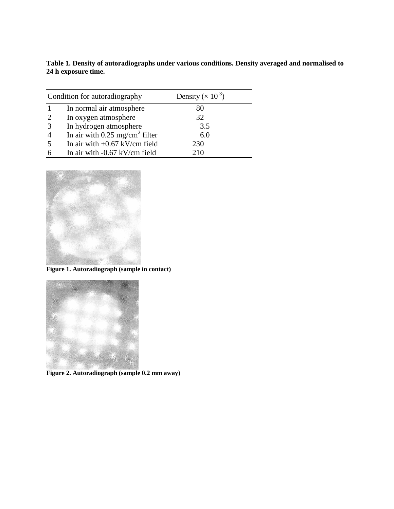| Table 1. Density of autoradiographs under various conditions. Density averaged and normalised to |  |
|--------------------------------------------------------------------------------------------------|--|
| 24 h exposure time.                                                                              |  |

|                | Condition for autoradiography              | Density ( $\times$ 10 <sup>-3</sup> ) |  |
|----------------|--------------------------------------------|---------------------------------------|--|
|                | In normal air atmosphere                   | 80                                    |  |
| 2              | In oxygen atmosphere                       | 32                                    |  |
| 3              | In hydrogen atmosphere                     | 3.5                                   |  |
| $\overline{4}$ | In air with 0.25 mg/cm <sup>2</sup> filter | 6.0                                   |  |
| 5              | In air with $+0.67$ kV/cm field            | 230                                   |  |
| 6              | In air with $-0.67$ kV/cm field            | 210                                   |  |



**Figure 1. Autoradiograph (sample in contact)**



**Figure 2. Autoradiograph (sample 0.2 mm away)**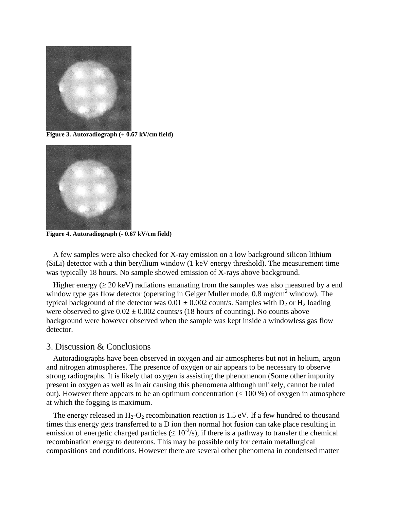

**Figure 3. Autoradiograph (+ 0.67 kV/cm field)**



**Figure 4. Autoradiograph (- 0.67 kV/cm field)**

A few samples were also checked for X-ray emission on a low background silicon lithium (SiLi) detector with a thin beryllium window (1 keV energy threshold). The measurement time was typically 18 hours. No sample showed emission of X-rays above background.

Higher energy ( $\geq$  20 keV) radiations emanating from the samples was also measured by a end window type gas flow detector (operating in Geiger Muller mode,  $0.8 \text{ mg/cm}^2$  window). The typical background of the detector was  $0.01 \pm 0.002$  count/s. Samples with  $D_2$  or  $H_2$  loading were observed to give  $0.02 \pm 0.002$  counts/s (18 hours of counting). No counts above background were however observed when the sample was kept inside a windowless gas flow detector.

### 3. Discussion & Conclusions

Autoradiographs have been observed in oxygen and air atmospheres but not in helium, argon and nitrogen atmospheres. The presence of oxygen or air appears to be necessary to observe strong radiographs. It is likely that oxygen is assisting the phenomenon (Some other impurity present in oxygen as well as in air causing this phenomena although unlikely, cannot be ruled out). However there appears to be an optimum concentration  $(< 100\%$ ) of oxygen in atmosphere at which the fogging is maximum.

The energy released in  $H_2$ -O<sub>2</sub> recombination reaction is 1.5 eV. If a few hundred to thousand times this energy gets transferred to a D ion then normal hot fusion can take place resulting in emission of energetic charged particles ( $\leq 10^{-2}/s$ ), if there is a pathway to transfer the chemical recombination energy to deuterons. This may be possible only for certain metallurgical compositions and conditions. However there are several other phenomena in condensed matter